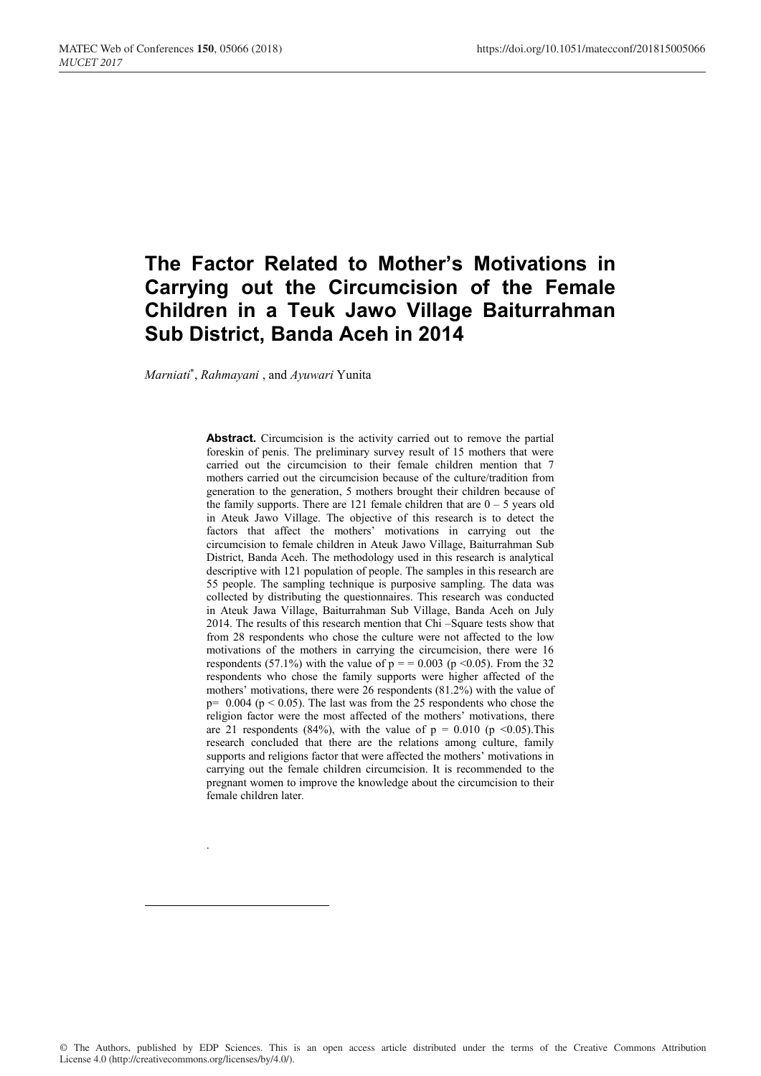# **The Factor Related to Mother's Motivations in Carrying out the Circumcision of the Female Children in a Teuk Jawo Village Baiturrahman Sub District, Banda Aceh in 2014**

*Marniati*\* , *Rahmayani* , and *Ayuwari* Yunita

.

-

Abstract. Circumcision is the activity carried out to remove the partial foreskin of penis. The preliminary survey result of 15 mothers that were carried out the circumcision to their female children mention that 7 mothers carried out the circumcision because of the culture/tradition from generation to the generation, 5 mothers brought their children because of the family supports. There are 121 female children that are  $0 - 5$  years old in Ateuk Jawo Village. The objective of this research is to detect the factors that affect the mothers' motivations in carrying out the circumcision to female children in Ateuk Jawo Village, Baiturrahman Sub District, Banda Aceh. The methodology used in this research is analytical descriptive with 121 population of people. The samples in this research are 55 people. The sampling technique is purposive sampling. The data was collected by distributing the questionnaires. This research was conducted in Ateuk Jawa Village, Baiturrahman Sub Village, Banda Aceh on July 2014. The results of this research mention that Chi –Square tests show that from 28 respondents who chose the culture were not affected to the low motivations of the mothers in carrying the circumcision, there were 16 respondents (57.1%) with the value of  $p = 0.003$  ( $p \le 0.05$ ). From the 32 respondents who chose the family supports were higher affected of the mothers' motivations, there were 26 respondents (81.2%) with the value of  $p= 0.004$  ( $p < 0.05$ ). The last was from the 25 respondents who chose the religion factor were the most affected of the mothers' motivations, there are 21 respondents (84%), with the value of  $p = 0.010$  ( $p \le 0.05$ ). This research concluded that there are the relations among culture, family supports and religions factor that were affected the mothers' motivations in carrying out the female children circumcision. It is recommended to the pregnant women to improve the knowledge about the circumcision to their female children later*.*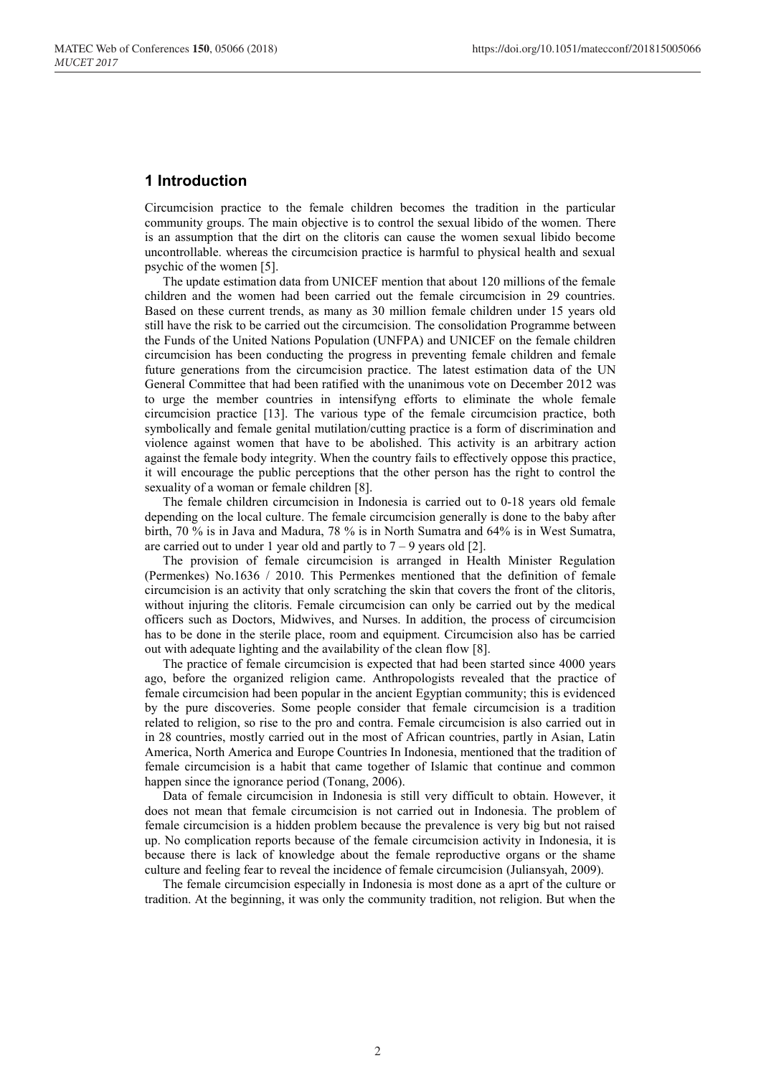# **1 Introduction**

Circumcision practice to the female children becomes the tradition in the particular community groups. The main objective is to control the sexual libido of the women. There is an assumption that the dirt on the clitoris can cause the women sexual libido become uncontrollable. whereas the circumcision practice is harmful to physical health and sexual psychic of the women [5].

The update estimation data from UNICEF mention that about 120 millions of the female children and the women had been carried out the female circumcision in 29 countries. Based on these current trends, as many as 30 million female children under 15 years old still have the risk to be carried out the circumcision. The consolidation Programme between the Funds of the United Nations Population (UNFPA) and UNICEF on the female children circumcision has been conducting the progress in preventing female children and female future generations from the circumcision practice. The latest estimation data of the UN General Committee that had been ratified with the unanimous vote on December 2012 was to urge the member countries in intensifyng efforts to eliminate the whole female circumcision practice [13]. The various type of the female circumcision practice, both symbolically and female genital mutilation/cutting practice is a form of discrimination and violence against women that have to be abolished. This activity is an arbitrary action against the female body integrity. When the country fails to effectively oppose this practice, it will encourage the public perceptions that the other person has the right to control the sexuality of a woman or female children [8].

The female children circumcision in Indonesia is carried out to 0-18 years old female depending on the local culture. The female circumcision generally is done to the baby after birth, 70 % is in Java and Madura, 78 % is in North Sumatra and 64% is in West Sumatra, are carried out to under 1 year old and partly to  $7 - 9$  years old [2].

The provision of female circumcision is arranged in Health Minister Regulation (Permenkes) No.1636 / 2010. This Permenkes mentioned that the definition of female circumcision is an activity that only scratching the skin that covers the front of the clitoris, without injuring the clitoris. Female circumcision can only be carried out by the medical officers such as Doctors, Midwives, and Nurses. In addition, the process of circumcision has to be done in the sterile place, room and equipment. Circumcision also has be carried out with adequate lighting and the availability of the clean flow [8].

The practice of female circumcision is expected that had been started since 4000 years ago, before the organized religion came. Anthropologists revealed that the practice of female circumcision had been popular in the ancient Egyptian community; this is evidenced by the pure discoveries. Some people consider that female circumcision is a tradition related to religion, so rise to the pro and contra. Female circumcision is also carried out in in 28 countries, mostly carried out in the most of African countries, partly in Asian, Latin America, North America and Europe Countries In Indonesia, mentioned that the tradition of female circumcision is a habit that came together of Islamic that continue and common happen since the ignorance period (Tonang, 2006).

Data of female circumcision in Indonesia is still very difficult to obtain. However, it does not mean that female circumcision is not carried out in Indonesia. The problem of female circumcision is a hidden problem because the prevalence is very big but not raised up. No complication reports because of the female circumcision activity in Indonesia, it is because there is lack of knowledge about the female reproductive organs or the shame culture and feeling fear to reveal the incidence of female circumcision (Juliansyah, 2009).

The female circumcision especially in Indonesia is most done as a aprt of the culture or tradition. At the beginning, it was only the community tradition, not religion. But when the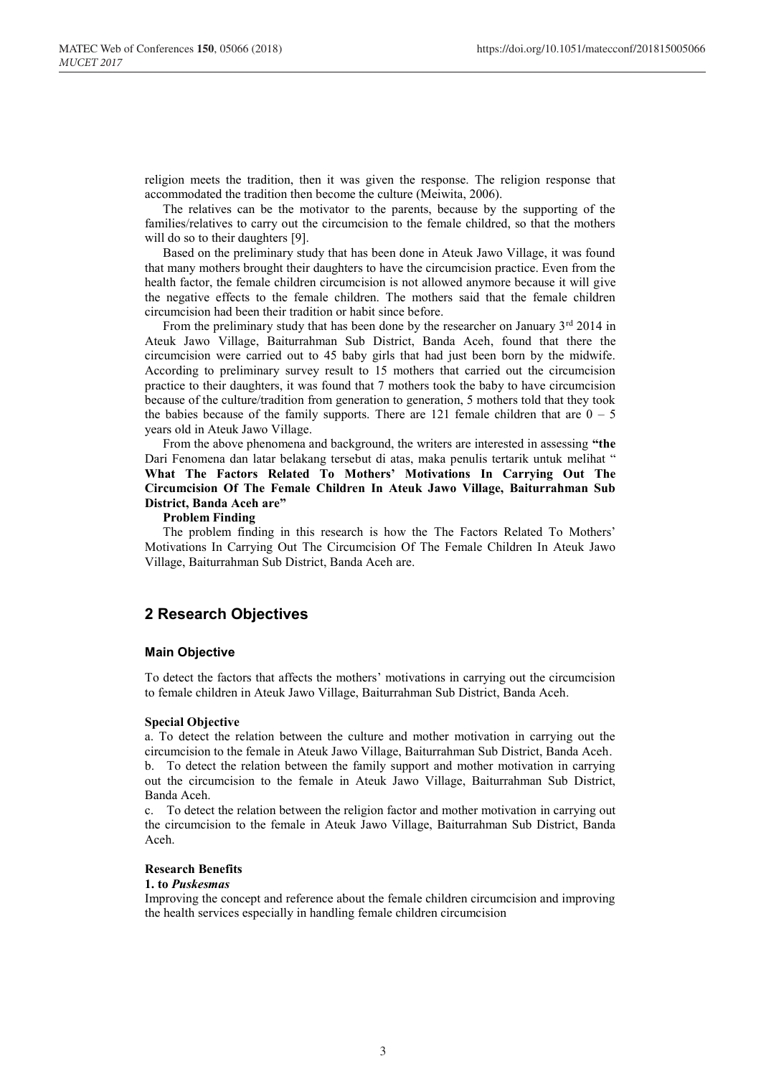religion meets the tradition, then it was given the response. The religion response that accommodated the tradition then become the culture (Meiwita, 2006).

The relatives can be the motivator to the parents, because by the supporting of the families/relatives to carry out the circumcision to the female childred, so that the mothers will do so to their daughters [9].

Based on the preliminary study that has been done in Ateuk Jawo Village, it was found that many mothers brought their daughters to have the circumcision practice. Even from the health factor, the female children circumcision is not allowed anymore because it will give the negative effects to the female children. The mothers said that the female children circumcision had been their tradition or habit since before.

From the preliminary study that has been done by the researcher on January  $3<sup>rd</sup>$  2014 in Ateuk Jawo Village, Baiturrahman Sub District, Banda Aceh, found that there the circumcision were carried out to 45 baby girls that had just been born by the midwife. According to preliminary survey result to 15 mothers that carried out the circumcision practice to their daughters, it was found that 7 mothers took the baby to have circumcision because of the culture/tradition from generation to generation, 5 mothers told that they took the babies because of the family supports. There are 121 female children that are  $0 - 5$ years old in Ateuk Jawo Village.

From the above phenomena and background, the writers are interested in assessing **"the**  Dari Fenomena dan latar belakang tersebut di atas, maka penulis tertarik untuk melihat " **What The Factors Related To Mothers' Motivations In Carrying Out The Circumcision Of The Female Children In Ateuk Jawo Village, Baiturrahman Sub District, Banda Aceh are"**

#### **Problem Finding**

The problem finding in this research is how the The Factors Related To Mothers' Motivations In Carrying Out The Circumcision Of The Female Children In Ateuk Jawo Village, Baiturrahman Sub District, Banda Aceh are.

# **2 Research Objectives**

### **Main Objective**

To detect the factors that affects the mothers' motivations in carrying out the circumcision to female children in Ateuk Jawo Village, Baiturrahman Sub District, Banda Aceh.

#### **Special Objective**

a. To detect the relation between the culture and mother motivation in carrying out the circumcision to the female in Ateuk Jawo Village, Baiturrahman Sub District, Banda Aceh. b. To detect the relation between the family support and mother motivation in carrying out the circumcision to the female in Ateuk Jawo Village, Baiturrahman Sub District, Banda Aceh.

c. To detect the relation between the religion factor and mother motivation in carrying out the circumcision to the female in Ateuk Jawo Village, Baiturrahman Sub District, Banda Aceh.

### **Research Benefits**

### **1. to** *Puskesmas*

Improving the concept and reference about the female children circumcision and improving the health services especially in handling female children circumcision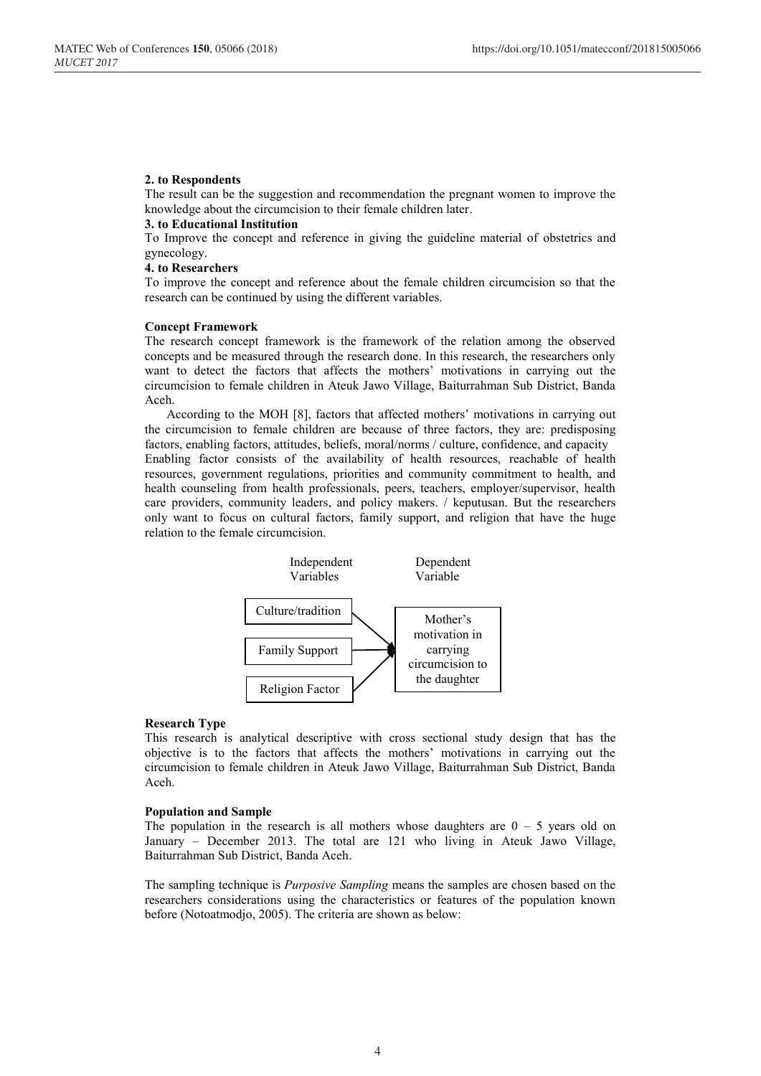### **2. to Respondents**

The result can be the suggestion and recommendation the pregnant women to improve the knowledge about the circumcision to their female children later.

### **3. to Educational Institution**

To Improve the concept and reference in giving the guideline material of obstetrics and gynecology.

#### **4. to Researchers**

To improve the concept and reference about the female children circumcision so that the research can be continued by using the different variables.

#### **Concept Framework**

The research concept framework is the framework of the relation among the observed concepts and be measured through the research done. In this research, the researchers only want to detect the factors that affects the mothers' motivations in carrying out the circumcision to female children in Ateuk Jawo Village, Baiturrahman Sub District, Banda Aceh.

According to the MOH [8], factors that affected mothers' motivations in carrying out the circumcision to female children are because of three factors, they are: predisposing factors, enabling factors, attitudes, beliefs, moral/norms / culture, confidence, and capacity Enabling factor consists of the availability of health resources, reachable of health resources, government regulations, priorities and community commitment to health, and health counseling from health professionals, peers, teachers, employer/supervisor, health care providers, community leaders, and policy makers. / keputusan. But the researchers only want to focus on cultural factors, family support, and religion that have the huge relation to the female circumcision.



#### **Research Type**

This research is analytical descriptive with cross sectional study design that has the objective is to the factors that affects the mothers' motivations in carrying out the circumcision to female children in Ateuk Jawo Village, Baiturrahman Sub District, Banda Aceh.

#### **Population and Sample**

The population in the research is all mothers whose daughters are  $0 - 5$  years old on January – December 2013. The total are 121 who living in Ateuk Jawo Village, Baiturrahman Sub District, Banda Aceh.

The sampling technique is *Purposive Sampling* means the samples are chosen based on the researchers considerations using the characteristics or features of the population known before (Notoatmodjo, 2005). The criteria are shown as below: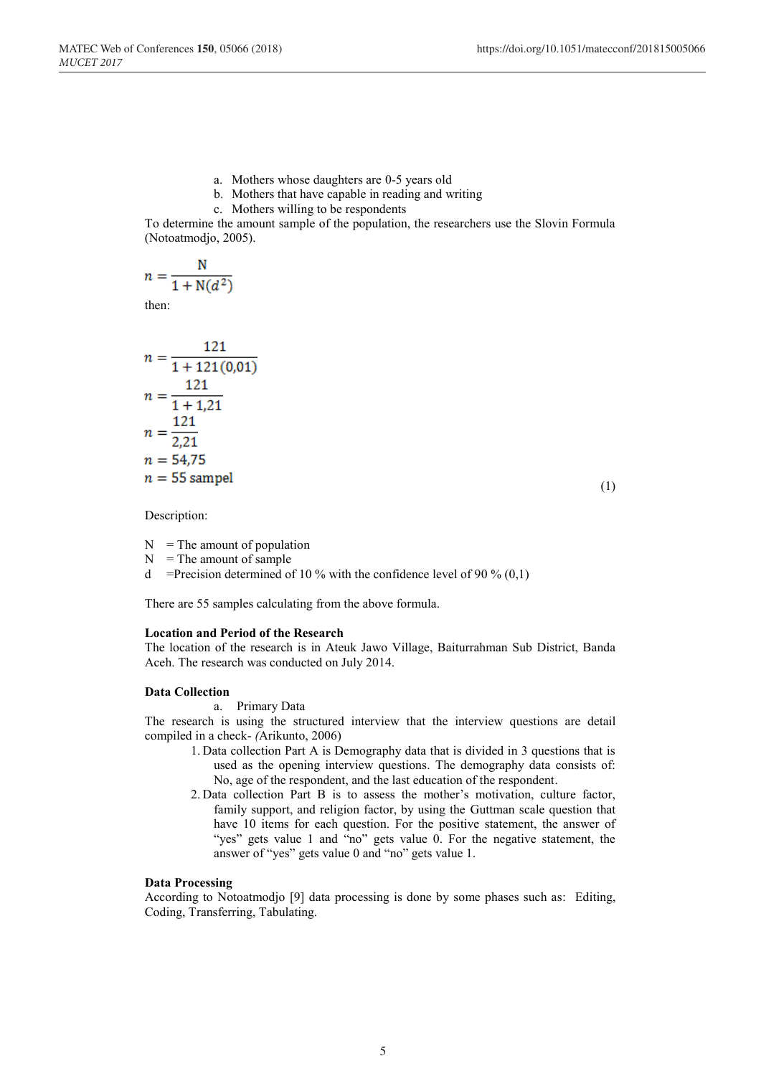- a. Mothers whose daughters are 0-5 years old
- b. Mothers that have capable in reading and writing
- c. Mothers willing to be respondents

To determine the amount sample of the population, the researchers use the Slovin Formula (Notoatmodjo, 2005).

$$
n = \frac{N}{1 + N(d^2)}
$$

then:

$$
n = \frac{121}{1 + 121(0,01)}
$$
  
\n
$$
n = \frac{121}{1 + 1,21}
$$
  
\n
$$
n = \frac{121}{2,21}
$$
  
\n
$$
n = 54,75
$$
  
\n
$$
n = 55 \text{ sample}
$$

 $(1)$ 

Description:

 $N =$ The amount of population

 $N =$ The amount of sample

d =Precision determined of 10 % with the confidence level of 90 %  $(0,1)$ 

There are 55 samples calculating from the above formula.

### **Location and Period of the Research**

The location of the research is in Ateuk Jawo Village, Baiturrahman Sub District, Banda Aceh. The research was conducted on July 2014.

#### **Data Collection**

a. Primary Data

The research is using the structured interview that the interview questions are detail compiled in a check- *(*Arikunto, 2006)

- 1. Data collection Part A is Demography data that is divided in 3 questions that is used as the opening interview questions. The demography data consists of: No, age of the respondent, and the last education of the respondent.
- 2. Data collection Part B is to assess the mother's motivation, culture factor, family support, and religion factor, by using the Guttman scale question that have 10 items for each question. For the positive statement, the answer of "yes" gets value 1 and "no" gets value 0. For the negative statement, the answer of "yes" gets value 0 and "no" gets value 1.

### **Data Processing**

According to Notoatmodjo [9] data processing is done by some phases such as: Editing, Coding, Transferring, Tabulating.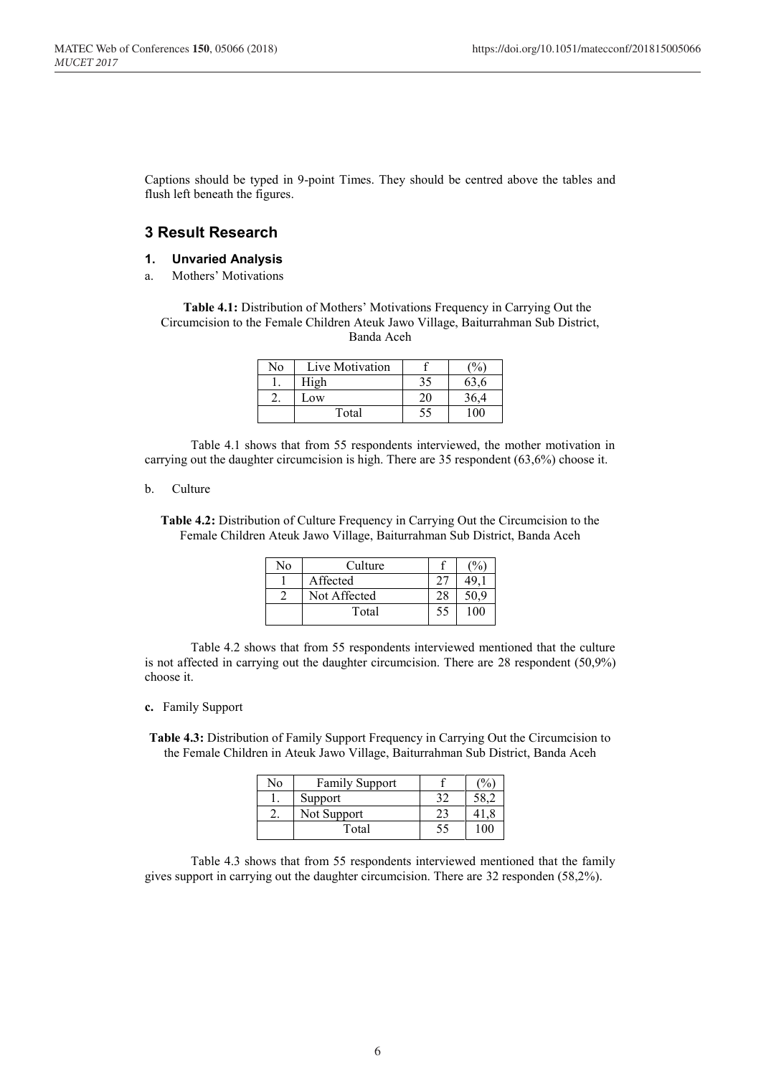Captions should be typed in 9-point Times. They should be centred above the tables and flush left beneath the figures.

# **3 Result Research**

### **1. Unvaried Analysis**

a. Mothers' Motivations

**Table 4.1:** Distribution of Mothers' Motivations Frequency in Carrying Out the Circumcision to the Female Children Ateuk Jawo Village, Baiturrahman Sub District, Banda Aceh

| No | Live Motivation |              |
|----|-----------------|--------------|
|    | High            | 63,6         |
|    | Low             | 36,4         |
|    | Total           | $00^{\circ}$ |

Table 4.1 shows that from 55 respondents interviewed, the mother motivation in carrying out the daughter circumcision is high. There are 35 respondent (63,6%) choose it.

### b. Culture

**Table 4.2:** Distribution of Culture Frequency in Carrying Out the Circumcision to the Female Children Ateuk Jawo Village, Baiturrahman Sub District, Banda Aceh

| No | Culture      |    |     |
|----|--------------|----|-----|
|    | Affected     |    |     |
|    | Not Affected |    |     |
|    | Total        | 55 | 100 |

Table 4.2 shows that from 55 respondents interviewed mentioned that the culture is not affected in carrying out the daughter circumcision. There are 28 respondent (50,9%) choose it.

### **c.** Family Support

**Table 4.3:** Distribution of Family Support Frequency in Carrying Out the Circumcision to the Female Children in Ateuk Jawo Village, Baiturrahman Sub District, Banda Aceh

| ง∩ | Family Support |    |  |
|----|----------------|----|--|
|    | Support        |    |  |
|    | Not Support    |    |  |
|    | Total          | 52 |  |

Table 4.3 shows that from 55 respondents interviewed mentioned that the family gives support in carrying out the daughter circumcision. There are 32 responden (58,2%).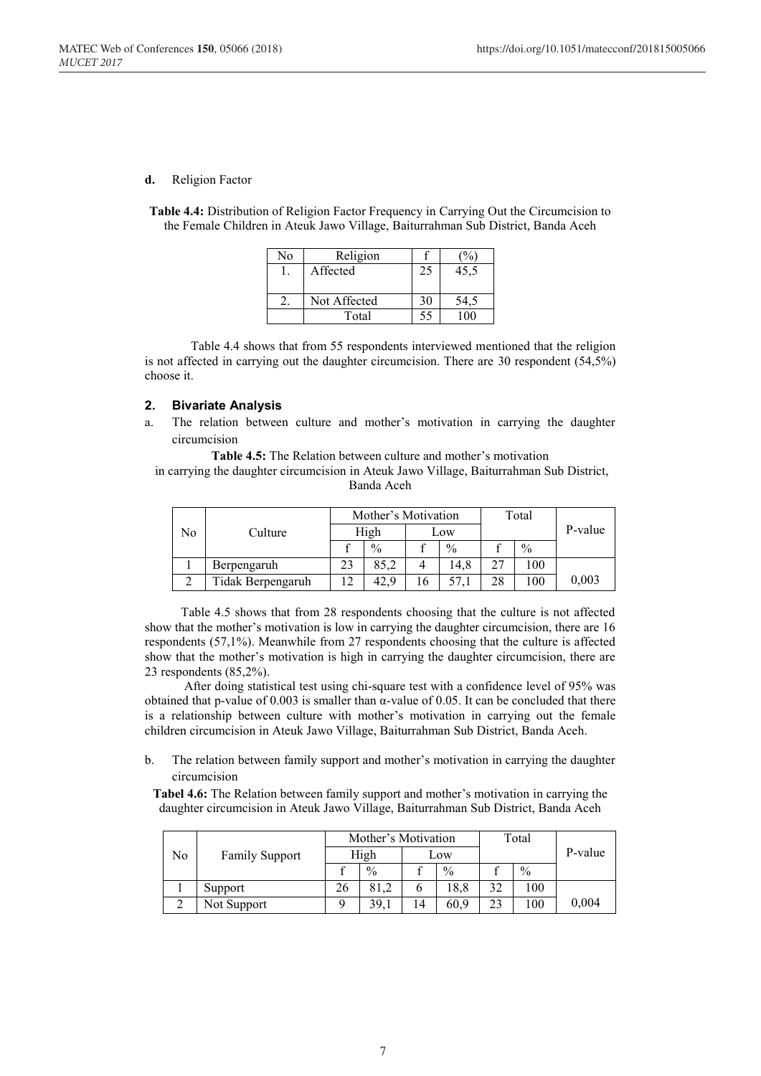### **d.** Religion Factor

**Table 4.4:** Distribution of Religion Factor Frequency in Carrying Out the Circumcision to the Female Children in Ateuk Jawo Village, Baiturrahman Sub District, Banda Aceh

| No | Religion     |    |      |
|----|--------------|----|------|
|    | Affected     | 25 | 45.5 |
|    |              |    |      |
|    | Not Affected | 30 |      |
|    | Total        | 51 |      |

Table 4.4 shows that from 55 respondents interviewed mentioned that the religion is not affected in carrying out the daughter circumcision. There are 30 respondent (54,5%) choose it.

### **2. Bivariate Analysis**

a. The relation between culture and mother's motivation in carrying the daughter circumcision

**Table 4.5:** The Relation between culture and mother's motivation

in carrying the daughter circumcision in Ateuk Jawo Village, Baiturrahman Sub District, Banda Aceh

|    |                   | Mother's Motivation |               |  | Total         |    |               |         |
|----|-------------------|---------------------|---------------|--|---------------|----|---------------|---------|
| No | Culture           | High                |               |  | Low           |    |               | P-value |
|    |                   |                     | $\frac{0}{0}$ |  | $\frac{0}{0}$ |    | $\frac{0}{0}$ |         |
|    | Berpengaruh       | 23                  | 85.2          |  | 14.8          |    | 100           |         |
|    | Tidak Berpengaruh |                     | 42.9          |  |               | 28 | 00            | 0,003   |

Table 4.5 shows that from 28 respondents choosing that the culture is not affected show that the mother's motivation is low in carrying the daughter circumcision, there are 16 respondents (57,1%). Meanwhile from 27 respondents choosing that the culture is affected show that the mother's motivation is high in carrying the daughter circumcision, there are 23 respondents (85,2%).

After doing statistical test using chi-square test with a confidence level of 95% was obtained that p-value of 0.003 is smaller than  $\alpha$ -value of 0.05. It can be concluded that there is a relationship between culture with mother's motivation in carrying out the female children circumcision in Ateuk Jawo Village, Baiturrahman Sub District, Banda Aceh.

b. The relation between family support and mother's motivation in carrying the daughter circumcision

**Tabel 4.6:** The Relation between family support and mother's motivation in carrying the daughter circumcision in Ateuk Jawo Village, Baiturrahman Sub District, Banda Aceh

|    |                       | Mother's Motivation |               |     |               | Total |      |         |
|----|-----------------------|---------------------|---------------|-----|---------------|-------|------|---------|
| No | <b>Family Support</b> | High                |               | Low |               |       |      | P-value |
|    |                       |                     | $\frac{0}{0}$ |     | $\frac{0}{0}$ |       | $\%$ |         |
|    | Support               | 26                  | 81.2          |     | 18,8          | 32    | 100  |         |
|    | Not Support           |                     | 39,1          | 14  | 60,9          | 23    | 100  | 0,004   |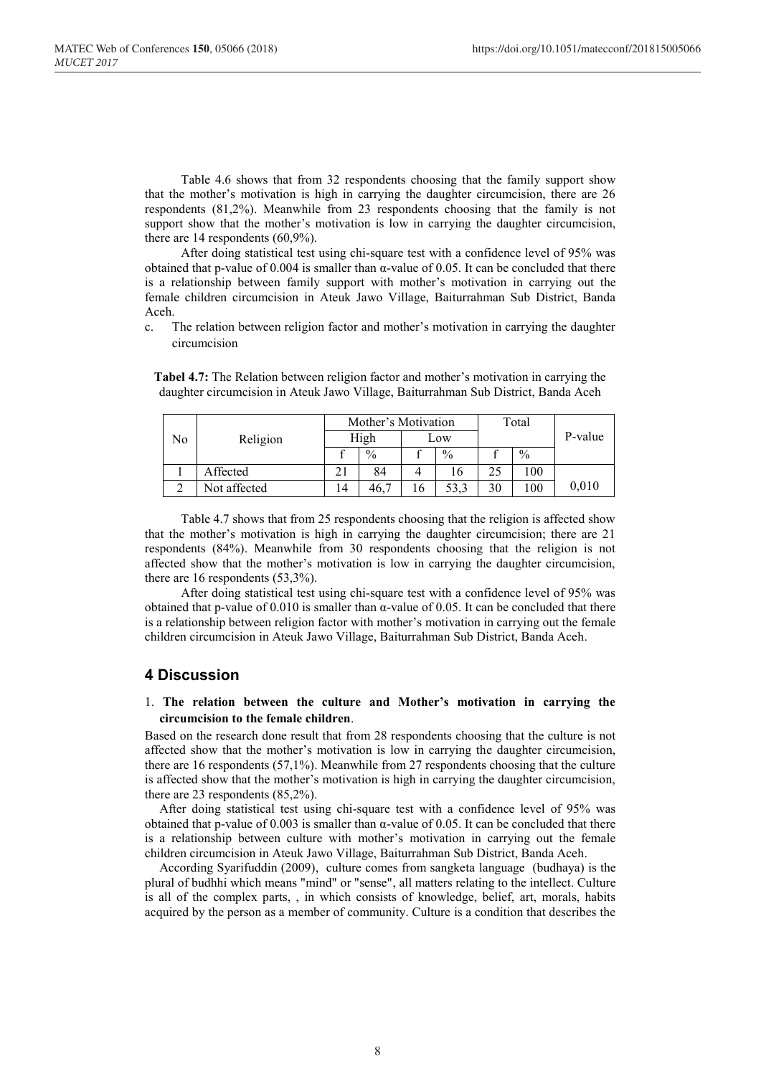Table 4.6 shows that from 32 respondents choosing that the family support show that the mother's motivation is high in carrying the daughter circumcision, there are 26 respondents (81,2%). Meanwhile from 23 respondents choosing that the family is not support show that the mother's motivation is low in carrying the daughter circumcision, there are 14 respondents (60,9%).

After doing statistical test using chi-square test with a confidence level of 95% was obtained that p-value of 0.004 is smaller than  $\alpha$ -value of 0.05. It can be concluded that there is a relationship between family support with mother's motivation in carrying out the female children circumcision in Ateuk Jawo Village, Baiturrahman Sub District, Banda Aceh.

c. The relation between religion factor and mother's motivation in carrying the daughter circumcision

**Tabel 4.7:** The Relation between religion factor and mother's motivation in carrying the daughter circumcision in Ateuk Jawo Village, Baiturrahman Sub District, Banda Aceh

|  |                |              | Mother's Motivation |               |     | Total         |    |               |         |
|--|----------------|--------------|---------------------|---------------|-----|---------------|----|---------------|---------|
|  | No<br>Religion |              | High                |               | Low |               |    |               | P-value |
|  |                |              |                     | $\frac{0}{0}$ |     | $\frac{0}{0}$ |    | $\frac{0}{0}$ |         |
|  |                | Affected     |                     | 84            |     | 16            | 25 | 100           |         |
|  |                | Not affected | 14                  | 46.           |     | 53,3          | 30 | 100           | 0,010   |

Table 4.7 shows that from 25 respondents choosing that the religion is affected show that the mother's motivation is high in carrying the daughter circumcision; there are 21 respondents (84%). Meanwhile from 30 respondents choosing that the religion is not affected show that the mother's motivation is low in carrying the daughter circumcision, there are 16 respondents (53,3%).

After doing statistical test using chi-square test with a confidence level of 95% was obtained that p-value of  $0.010$  is smaller than α-value of  $0.05$ . It can be concluded that there is a relationship between religion factor with mother's motivation in carrying out the female children circumcision in Ateuk Jawo Village, Baiturrahman Sub District, Banda Aceh.

## **4 Discussion**

### 1. **The relation between the culture and Mother's motivation in carrying the circumcision to the female children**.

Based on the research done result that from 28 respondents choosing that the culture is not affected show that the mother's motivation is low in carrying the daughter circumcision, there are 16 respondents (57,1%). Meanwhile from 27 respondents choosing that the culture is affected show that the mother's motivation is high in carrying the daughter circumcision, there are 23 respondents (85,2%).

After doing statistical test using chi-square test with a confidence level of 95% was obtained that p-value of 0.003 is smaller than  $\alpha$ -value of 0.05. It can be concluded that there is a relationship between culture with mother's motivation in carrying out the female children circumcision in Ateuk Jawo Village, Baiturrahman Sub District, Banda Aceh.

According Syarifuddin (2009), culture comes from sangketa language (budhaya) is the plural of budhhi which means "mind" or "sense", all matters relating to the intellect. Culture is all of the complex parts, , in which consists of knowledge, belief, art, morals, habits acquired by the person as a member of community. Culture is a condition that describes the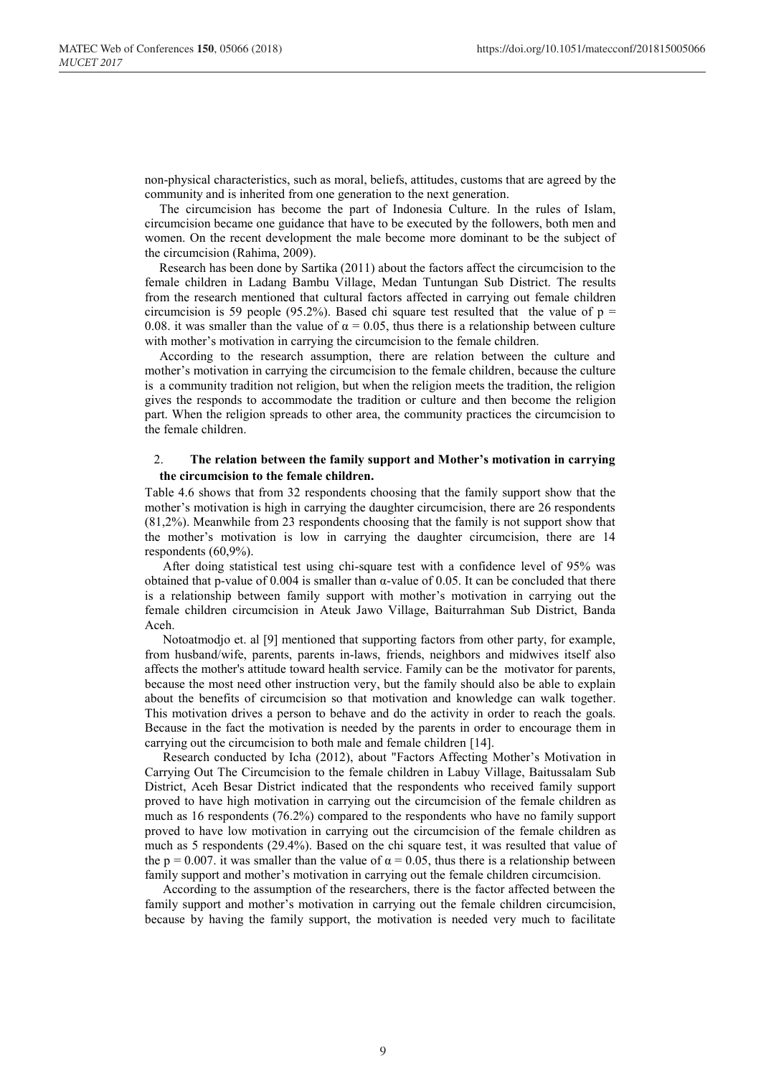non-physical characteristics, such as moral, beliefs, attitudes, customs that are agreed by the community and is inherited from one generation to the next generation.

The circumcision has become the part of Indonesia Culture. In the rules of Islam, circumcision became one guidance that have to be executed by the followers, both men and women. On the recent development the male become more dominant to be the subject of the circumcision (Rahima, 2009).

Research has been done by Sartika (2011) about the factors affect the circumcision to the female children in Ladang Bambu Village, Medan Tuntungan Sub District. The results from the research mentioned that cultural factors affected in carrying out female children circumcision is 59 people (95.2%). Based chi square test resulted that the value of  $p =$ 0.08. it was smaller than the value of  $\alpha = 0.05$ , thus there is a relationship between culture with mother's motivation in carrying the circumcision to the female children.

According to the research assumption, there are relation between the culture and mother's motivation in carrying the circumcision to the female children, because the culture is a community tradition not religion, but when the religion meets the tradition, the religion gives the responds to accommodate the tradition or culture and then become the religion part. When the religion spreads to other area, the community practices the circumcision to the female children.

### 2. **The relation between the family support and Mother's motivation in carrying the circumcision to the female children.**

Table 4.6 shows that from 32 respondents choosing that the family support show that the mother's motivation is high in carrying the daughter circumcision, there are 26 respondents (81,2%). Meanwhile from 23 respondents choosing that the family is not support show that the mother's motivation is low in carrying the daughter circumcision, there are 14 respondents (60,9%).

After doing statistical test using chi-square test with a confidence level of 95% was obtained that p-value of 0.004 is smaller than  $\alpha$ -value of 0.05. It can be concluded that there is a relationship between family support with mother's motivation in carrying out the female children circumcision in Ateuk Jawo Village, Baiturrahman Sub District, Banda Aceh.

Notoatmodjo et. al [9] mentioned that supporting factors from other party, for example, from husband/wife, parents, parents in-laws, friends, neighbors and midwives itself also affects the mother's attitude toward health service. Family can be the motivator for parents, because the most need other instruction very, but the family should also be able to explain about the benefits of circumcision so that motivation and knowledge can walk together. This motivation drives a person to behave and do the activity in order to reach the goals. Because in the fact the motivation is needed by the parents in order to encourage them in carrying out the circumcision to both male and female children [14].

Research conducted by Icha (2012), about "Factors Affecting Mother's Motivation in Carrying Out The Circumcision to the female children in Labuy Village, Baitussalam Sub District, Aceh Besar District indicated that the respondents who received family support proved to have high motivation in carrying out the circumcision of the female children as much as 16 respondents (76.2%) compared to the respondents who have no family support proved to have low motivation in carrying out the circumcision of the female children as much as 5 respondents (29.4%). Based on the chi square test, it was resulted that value of the p = 0.007. it was smaller than the value of  $\alpha$  = 0.05, thus there is a relationship between family support and mother's motivation in carrying out the female children circumcision.

According to the assumption of the researchers, there is the factor affected between the family support and mother's motivation in carrying out the female children circumcision, because by having the family support, the motivation is needed very much to facilitate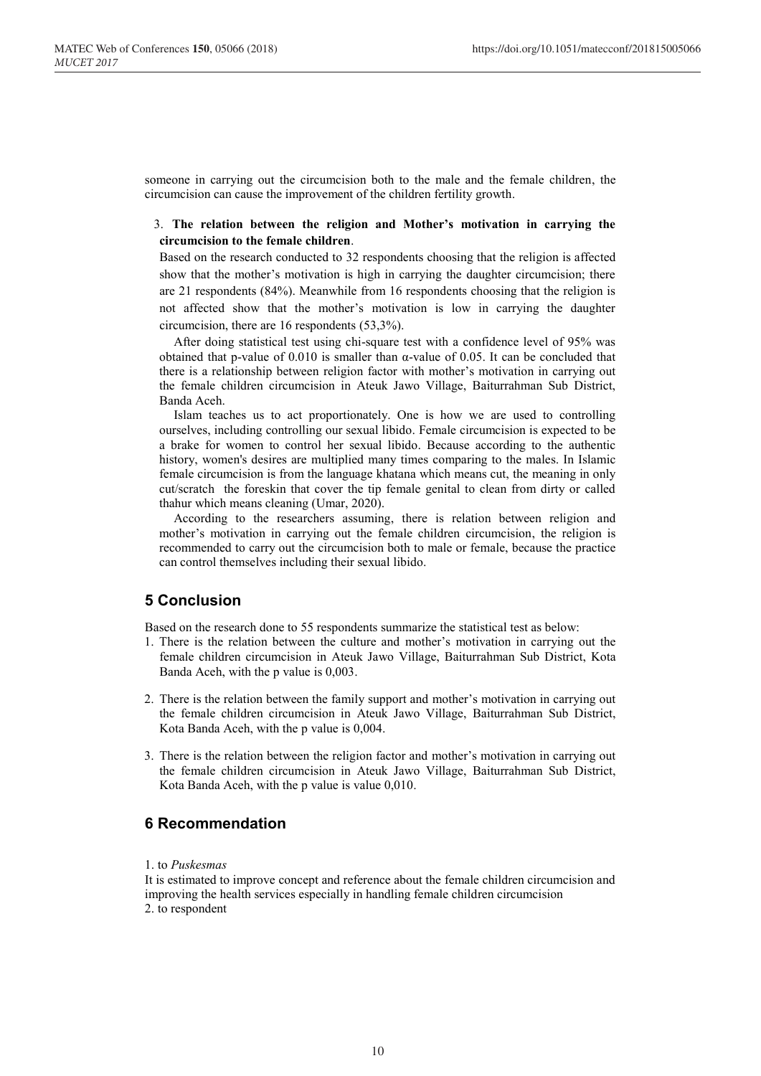someone in carrying out the circumcision both to the male and the female children, the circumcision can cause the improvement of the children fertility growth.

### 3. **The relation between the religion and Mother's motivation in carrying the circumcision to the female children**.

Based on the research conducted to 32 respondents choosing that the religion is affected show that the mother's motivation is high in carrying the daughter circumcision; there are 21 respondents (84%). Meanwhile from 16 respondents choosing that the religion is not affected show that the mother's motivation is low in carrying the daughter circumcision, there are 16 respondents (53,3%).

After doing statistical test using chi-square test with a confidence level of 95% was obtained that p-value of 0.010 is smaller than α-value of 0.05. It can be concluded that there is a relationship between religion factor with mother's motivation in carrying out the female children circumcision in Ateuk Jawo Village, Baiturrahman Sub District, Banda Aceh.

Islam teaches us to act proportionately. One is how we are used to controlling ourselves, including controlling our sexual libido. Female circumcision is expected to be a brake for women to control her sexual libido. Because according to the authentic history, women's desires are multiplied many times comparing to the males. In Islamic female circumcision is from the language khatana which means cut, the meaning in only cut/scratch the foreskin that cover the tip female genital to clean from dirty or called thahur which means cleaning (Umar, 2020).

According to the researchers assuming, there is relation between religion and mother's motivation in carrying out the female children circumcision, the religion is recommended to carry out the circumcision both to male or female, because the practice can control themselves including their sexual libido.

# **5 Conclusion**

Based on the research done to 55 respondents summarize the statistical test as below:

- 1. There is the relation between the culture and mother's motivation in carrying out the female children circumcision in Ateuk Jawo Village, Baiturrahman Sub District, Kota Banda Aceh, with the p value is 0,003.
- 2. There is the relation between the family support and mother's motivation in carrying out the female children circumcision in Ateuk Jawo Village, Baiturrahman Sub District, Kota Banda Aceh, with the p value is 0,004.
- 3. There is the relation between the religion factor and mother's motivation in carrying out the female children circumcision in Ateuk Jawo Village, Baiturrahman Sub District, Kota Banda Aceh, with the p value is value 0,010.

# **6 Recommendation**

### 1. to *Puskesmas*

It is estimated to improve concept and reference about the female children circumcision and improving the health services especially in handling female children circumcision 2. to respondent